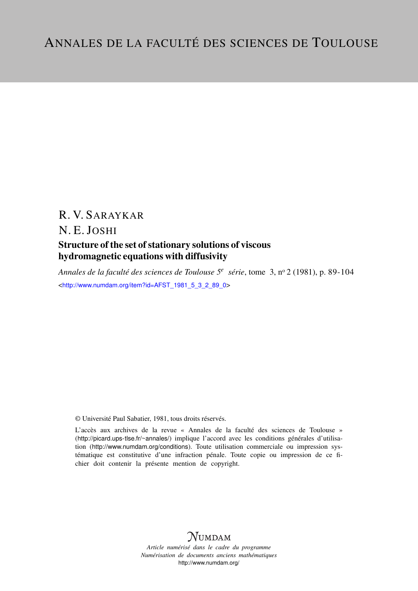# R. V. SARAYKAR

N. E. JOSHI

# Structure of the set of stationary solutions of viscous hydromagnetic equations with diffusivity

*Annales de la faculté des sciences de Toulouse 5<sup>e</sup> série*, tome 3, n<sup>o</sup> 2 (1981), p. 89-104 <[http://www.numdam.org/item?id=AFST\\_1981\\_5\\_3\\_2\\_89\\_0](http://www.numdam.org/item?id=AFST_1981_5_3_2_89_0)>

© Université Paul Sabatier, 1981, tous droits réservés.

L'accès aux archives de la revue « Annales de la faculté des sciences de Toulouse » (<http://picard.ups-tlse.fr/~annales/>) implique l'accord avec les conditions générales d'utilisation (<http://www.numdam.org/conditions>). Toute utilisation commerciale ou impression systématique est constitutive d'une infraction pénale. Toute copie ou impression de ce fichier doit contenir la présente mention de copyright.



*Article numérisé dans le cadre du programme Numérisation de documents anciens mathématiques* <http://www.numdam.org/>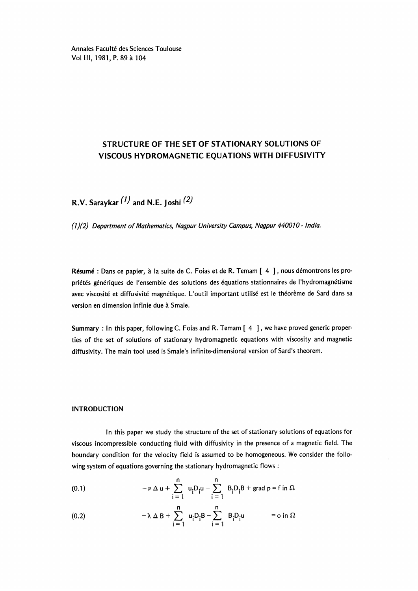Annales Faculté des Sciences Toulouse Vol III, 1981, P. 89 à 104

# STRUCTURE OF THE SET OF STATIONARY SOLUTIONS OF VISCOUS HYDROMAGNETIC EQUATIONS WITH DIFFUSIVITY

R.V. Saraykar  $(1)$  and N.E. Joshi  $(2)$ 

(1)(2) Department of Mathematics, Nagpur University Campus, Nagpur 440010 - India.

Résumé : Dans ce papier, à la suite de C. Foias et de R. Temam [4], nous démontrons les propriétés génériques de l'ensemble des solutions des équations stationnaires de l'hydromagnétisme avec viscosité et diffusivité magnétique. L'outil important utilisé est le théorème de Sard dans sa version en dimension infinie due a Smale.

Summary : In this paper, following C. Foias and R. Temam [ 4 ] , we have proved generic properties of the set of solutions of stationary hydromagnetic equations with viscosity and magnetic diffusivity. The main tool used is Smale's infinite-dimensional version of Sard's theorem.

#### INTRODUCTION

In this paper we study the structure of the set of stationary solutions of equations for viscous incompressible conducting fluid with diffusivity in the presence of a magnetic field. The boundary condition for the velocity field is assumed to be homogeneous. We consider the following system of equations governing the stationary hydromagnetic flows :

(0.1) 
$$
-\nu \Delta u + \sum_{i=1}^{n} u_{i}D_{i}u - \sum_{i=1}^{n} B_{i}D_{i}B + \text{grad } p = f \text{ in } \Omega
$$

(0.2) 
$$
-\lambda \Delta B + \sum_{i=1}^{n} u_{i}D_{i}B - \sum_{i=1}^{n} B_{i}D_{i}u = o \text{ in } \Omega
$$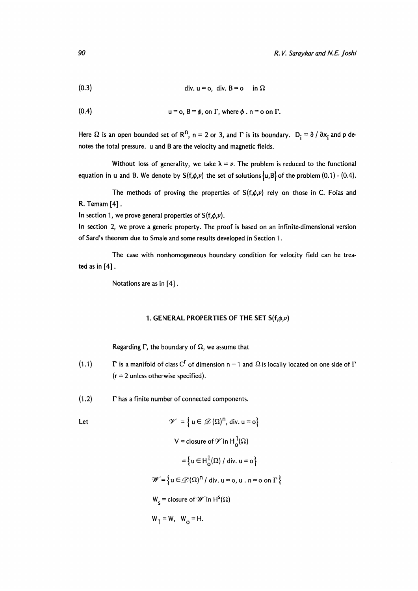$$
(0.4) \t\t\t u = o, B = \phi, on \Gamma, where \phi. n = o on \Gamma.
$$

Here  $\Omega$  is an open bounded set of R<sup>n</sup>, n = 2 or 3, and  $\Gamma$  is its boundary.  $D_i = \partial / \partial x_i$  and p denotes the total pressure. u and B are the velocity and magnetic fields.

Without loss of generality, we take  $\lambda = \nu$ . The problem is reduced to the functional equation in u and B. We denote by  $S(f,\phi,\nu)$  the set of solutions  $\{u,B\}$  of the problem (0.1) - (0.4).

The methods of proving the properties of  $S(f,\phi,\nu)$  rely on those in C. Foias and R. Temam [4].

In section 1, we prove general properties of  $S(f,\phi,\nu)$ .

In section 2, we prove a generic property. The proof is based on an infinite-dimensional version of Sard's theorem due to Smale and some results developed in Section 1.

The case with nonhomogeneous boundary condition for velocity field can be trea-The case with<br>ted as in [4].

Notations are as in [4].

#### 1. GENERAL PROPERTIES OF THE SET  $S(f,\phi,\nu)$

Regarding  $\Gamma$ , the boundary of  $\Omega$ , we assume that

- (1.1) **F** is a manifold of class C<sup>r</sup> of dimension n 1 and  $\Omega$  is locally located on one side of  $\Gamma$  $(r = 2$  unless otherwise specified).
- $(1.2)$   $\Gamma$  has a finite number of connected components.

Let  
\n
$$
\mathcal{V} = \{ u \in \mathcal{D}(\Omega)^n, \text{div. } u = o \}
$$
\n
$$
V = \text{closure of } \mathcal{V} \text{ in } H_0^1(\Omega)
$$
\n
$$
= \{ u \in H_0^1(\Omega) / \text{ div. } u = o \}
$$
\n
$$
\mathcal{W} = \{ u \in \mathcal{D}(\Omega)^n / \text{ div. } u = o, u \text{ . } n = o \text{ on } \Gamma \}
$$
\n
$$
W_s = \text{closure of } \mathcal{W} \text{ in } H^s(\Omega)
$$
\n
$$
W_1 = W, \quad W_0 = H.
$$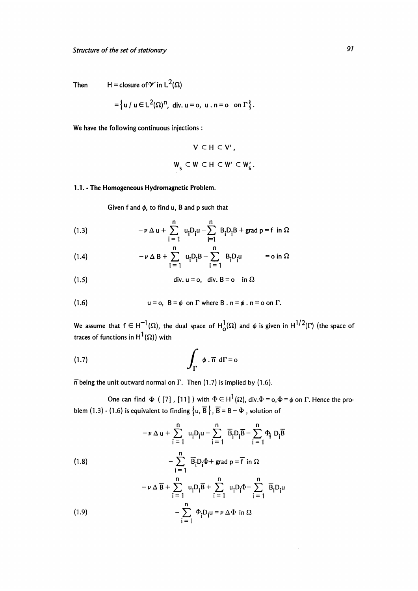Then  $H = closure of \mathcal{V}$  in  $L^2(\Omega)$ 

$$
= \left\{ u \mid u \in L^2(\Omega)^n, \text{ div. } u = 0, u \cdot n = 0 \text{ on } \Gamma \right\}.
$$

We have the following continuous injections :

$$
V \subset H \subset V',
$$
  

$$
W_s \subset W \subset H \subset W' \subset W'_s
$$

#### 1.1. - The Homogeneous Hydromagnetic Problem.

Given f and  $\phi$ , to find u, B and p such that

(1.3) 
$$
-\nu \Delta u + \sum_{i=1}^{n} u_{i}D_{i}u - \sum_{i=1}^{n} B_{i}D_{i}B + \text{grad } p = f \text{ in } \Omega
$$

(1.4) 
$$
-\nu \Delta B + \sum_{i=1}^{n} u_{i}D_{i}B - \sum_{i=1}^{n} B_{i}D_{i}u = o \text{ in } \Omega
$$

(1.5) 
$$
\text{div. } u = o, \quad \text{div. } B = o \quad \text{in } \Omega
$$

(1.6) 
$$
u = o, B = \phi \text{ on } \Gamma \text{ where } B \text{ . } n = \phi \text{ . } n = o \text{ on } \Gamma.
$$

We assume that  $f \in H^{-1}(\Omega)$ , the dual space of  $H^1_0(\Omega)$  and  $\phi$  is given in  $H^{1/2}(\Gamma)$  (the space of traces of functions in  $\text{H}^1(\Omega)$ ) with

(1.7) 
$$
\int_{\Gamma} \phi . \overline{n} d\Gamma = 0
$$

 $\overline{n}$  being the unit outward normal on  $\Gamma$ . Then (1.7) is implied by (1.6).

One can find  $\Phi$  ([7], [11]) with  $\Phi \in H^1(\Omega)$ , div. $\Phi = o, \Phi = \phi$  on  $\Gamma$ . Hence the problem (1.3) - (1.6) is equivalent to finding  $\{u, \overline{B}\}\$ ,  $\overline{B} = B - \Phi$ , solution of

 $\ddot{\phantom{0}}$ 

(1.8)  
\n
$$
-\nu \Delta u + \sum_{i=1}^{n} u_{i}D_{i}u - \sum_{i=1}^{n} \overline{B}_{i}D_{i}\overline{B} - \sum_{i=1}^{n} \Phi_{i} D_{i}\overline{B}
$$
\n
$$
-\sum_{i=1}^{n} \overline{B}_{i}D_{i}\Phi + \text{grad } p = \overline{f} \text{ in } \Omega
$$
\n
$$
-\nu \Delta \overline{B} + \sum_{i=1}^{n} u_{i}D_{i}\overline{B} + \sum_{i=1}^{n} u_{i}D_{i}\Phi - \sum_{i=1}^{n} \overline{B}_{i}D_{i}u
$$
\n
$$
-\sum_{i=1}^{n} \Phi_{i}D_{i}u = \nu \Delta \Phi \text{ in } \Omega
$$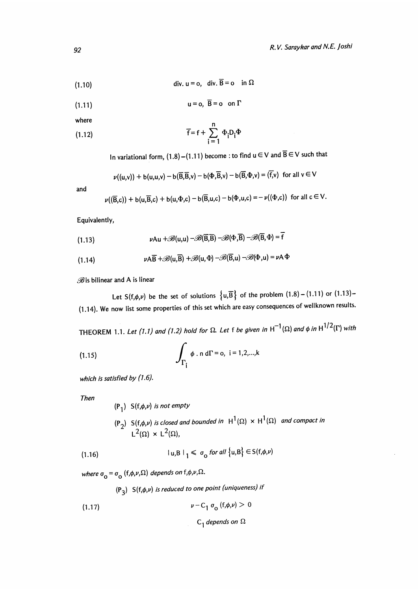(1.10) 
$$
\text{div. } \mathbf{u} = \mathbf{o}, \quad \text{div. } \overline{\mathbf{B}} = \mathbf{o} \quad \text{in } \Omega
$$

$$
(1.11) \t\t u = o, \ \overline{B} = o \quad on \ \Gamma
$$

where

(1.12) 
$$
\overline{f} = f + \sum_{i=1}^{n} \Phi_i D_i \Phi
$$

In variational form,  $(1.8)$  –(1.11) become : to find  $u \in V$  and  $\overline{B} \in V$  such that

$$
\nu((u,v)) + b(u,u,v) - b(\overline{B},\overline{B},v) - b(\Phi,\overline{B},v) - b(\overline{B},\Phi,v) = (\overline{f},v) \text{ for all } v \in V
$$

and

$$
\nu((\overline{\mathsf{B}},\mathsf{c})) + \mathsf{b}(\mathsf{u},\overline{\mathsf{B}},\mathsf{c}) + \mathsf{b}(\mathsf{u},\Phi,\mathsf{c}) - \mathsf{b}(\overline{\mathsf{B}},\mathsf{u},\mathsf{c}) - \mathsf{b}(\Phi,\mathsf{u},\mathsf{c}) = -\nu((\Phi,\mathsf{c})) \text{ for all } \mathsf{c} \in \mathsf{V}.
$$

Equivalently,

(1.13) 
$$
\nu Au + \mathscr{B}(u, u) - \mathscr{B}(\overline{B}, \overline{B}) - \mathscr{B}(\overline{B}, \overline{B}) - \mathscr{B}(\overline{B}, \Phi) = \overline{f}
$$

(1.14) 
$$
\nu A\overline{B} + \mathscr{B}(u,\overline{B}) + \mathscr{B}(u,\Phi) - \mathscr{B}(\overline{B},u) - \mathscr{B}(\Phi,u) = \nu A \Phi
$$

 $B$  is bilinear and A is linear

Let  $S(f,\phi,\nu)$  be the set of solutions  $\{u,\overline{B}\}$  of the problem  $(1.8) - (1.11)$  or  $(1.13)$ -(1.14). We now list some properties of this set which are easy consequences of wellknown results.

THEOREM 1.1. Let (1.1) and (1.2) hold for  $\Omega$ . Let f be given in  $H^{-1}(\Omega)$  and  $\phi$  in  $H^{1/2}(\Gamma)$  with

(1.15) 
$$
\int_{\Gamma_i} \phi \cdot n \, d\Gamma = 0, \quad i = 1, 2, ..., k
$$

which is satisfied by  $(1.6)$ .

Then

 $(P_1)$  S(f, $\phi, \nu$ ) is not empty

 $({\sf P}_2)$   ${\sf S}({\sf f},\phi,\nu)$  is closed and bounded in  $\;{\sf H}^1(\Omega)\,\times\,{\sf H}^1(\Omega)\;$  and compact in X

$$
|u, B|_1 \le \sigma_0 \text{ for all } \{u, B\} \in S(f, \phi, \nu)
$$

where  $\sigma_{\mathbf{O}} = \sigma_{\mathbf{O}}$  (f, $\phi, \nu, \Omega$ ) depends on f, $\phi, \nu, \Omega$ .

 $(P_3)$  S(f, $\phi, \nu$ ) is reduced to one point (uniqueness) if

(1.17) 
$$
\nu - C_1 \sigma_0 (f, \phi, \nu) > 0
$$

 $C_1$  depends on  $\Omega$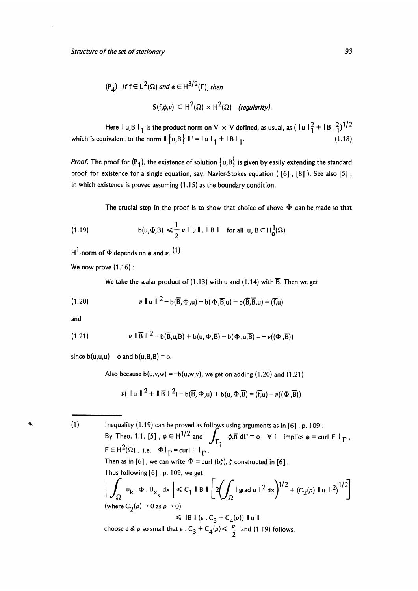$$
(\mathsf{P}_4) \quad \text{If } \mathsf{f} \in \mathsf{L}^2(\Omega) \text{ and } \phi \in \mathsf{H}^{3/2}(\Gamma), \text{ then}
$$
\n
$$
\mathsf{S}(\mathsf{f}, \phi, \nu) \subset \mathsf{H}^2(\Omega) \times \mathsf{H}^2(\Omega) \quad \text{(regularity)}.
$$

Here  $|u,B|_1$  is the product norm on V  $\times$  V defined, as usual, as  $(|u|^2 + |B|^2)^{1/2}$ <br>uivalent to the norm  $||\{u,B\}||^2 = |u|_1 + |B|_1$ . (1.18) which is equivalent to the norm  $\|\{u,B\}\|' = \|u\|_1 + \|B\|_1$ .

*Proof.* The proof for  $(P_1)$ , the existence of solution  $\{u, B\}$  is given by easily extending the standard proof for existence for a single equation, say, Navier-Stokes equation  $(6]$ ,  $[8]$ ). See also  $[5]$ , in which existence is proved assuming (1.15) as the boundary condition.

The crucial step in the proof is to show that choice of above  $\Phi$  can be made so that

(1.19) 
$$
b(u,\Phi,B) \leq \frac{1}{2} \nu \|u\| \cdot \|B\| \text{ for all } u, B \in H_0^1(\Omega)
$$

H<sup>1</sup>-norm of  $\Phi$  depends on  $\phi$  and  $\nu$ .  $(1)$ 

We now prove  $(1.16)$ :

We take the scalar product of  $(1.13)$  with u and  $(1.14)$  with  $\overline{B}$ . Then we get

$$
(1.20) \quad \nu \parallel u \parallel^{2} - b(\overline{B}, \Phi, u) - b(\Phi, \overline{B}, u) - b(\overline{B}, \overline{B}, u) = (\overline{f}, u)
$$

and

 $\ddot{\textbf{x}}$ 

(1.21) 
$$
\nu \parallel \overline{B} \parallel^{2} - b(\overline{B}, u, \overline{B}) + b(u, \Phi, \overline{B}) - b(\Phi, u, \overline{B}) = -\nu((\Phi, \overline{B}))
$$

since  $b(u,u,u)$  o and  $b(u,B,B) = o$ .

Also because  $b(u,v,w) = -b(u,w,v)$ , we get on adding (1.20) and (1.21)

$$
\nu(\parallel u \parallel^{2} + \parallel \overline{B} \parallel^{2}) - b(\overline{B}, \Phi, u) + b(u, \Phi, \overline{B}) = (\overline{f}, u) - \nu((\Phi, \overline{B}))
$$

(1) Inequality (1.19) can be proved as follows using arguments as in [6], p. 109 :<br>By Theo. 1.1. [5],  $\phi \in H^{1/2}$  and  $\int_{\Gamma_1}^{\Gamma_2} \phi \cdot \overline{n} d\Gamma = o \quad \forall i \quad \text{implies } \phi = \text{curl } \mathsf{F} \mid \Gamma_2$  $J_{\Gamma_i}$   $\varphi$  and  $\Gamma$  or  $\varphi$  is implies  $\varphi$  = current  $\Gamma$  $F \in H^2(\Omega)$ . i.e.  $\Phi|_{\Gamma} = \text{curl } F|_{\Gamma}$ . Then as in [6], we can write  $\Phi = \text{curl } (b\zeta)$ ,  $\zeta$  constructed in [6]. Thus following [6], p. 109, we get<br>  $\left| \int_{\Omega} u_k \cdot \Phi \cdot B_{x_k} dx \right| \leq C_1 \parallel B \parallel \left[ 2 \left( \int_{\Omega} |g \rangle du \right)^{1/2} + (C_2(\rho) \parallel u \parallel^2)^{1/2} \right]$ (where  $C_2(\rho) \rightarrow 0$  as  $\rho \rightarrow 0$ )  $\leq$  IB II ( $\epsilon$ . C<sub>3</sub> + C<sub>4</sub>( $\rho$ )) II u II choose  $\epsilon \& \rho$  so small that  $\epsilon \cdot C_3 + C_4(\rho) \leq \frac{\nu}{2}$  and (1.19) follows.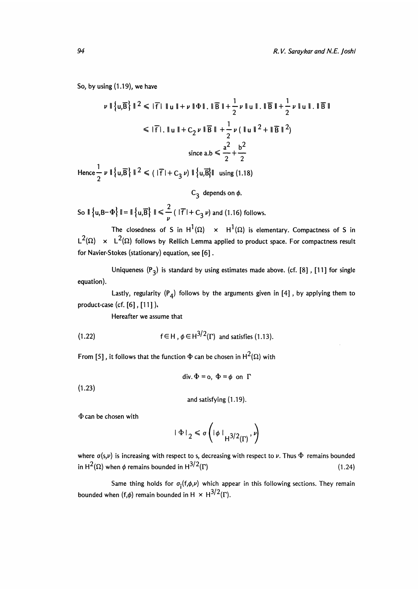So, by using (1.19), we have

$$
\nu \| \{u, \overline{B}\} \|^{2} \leq |F| \|u\| + \nu \| \Phi \| \cdot \| \overline{B} \| + \frac{1}{2} \nu \| u \| \cdot \| \overline{B} \| + \frac{1}{2} \nu \| u \| \cdot \| \overline{B} \|
$$
  
\n
$$
\leq |F| \cdot \| u \| + C_2 \nu \| \overline{B} \| + \frac{1}{2} \nu ( \|u \|^{2} + \| \overline{B} \|^{2} )
$$
  
\nsince  $a.b \leq \frac{a^{2}}{2} + \frac{b^{2}}{2}$ 

Hence  $\frac{1}{2}$   $\nu$  ||  $\{u,\overline{B}\}\$ ||  $^2 \le (|\overline{f}| + C_3 \nu)$  ||  $\{u,\overline{B}\}\|$  using (1.18)

## $C_3$  depends on  $\phi$ .

So  $\|\{u, B-\Phi\}\| = \|\{u, \overline{B}\}\| \le \frac{2}{\nu}$  ( $|\overline{f}| + C_3 \nu$ ) and (1.16) follows.

The closedness of S in  $H^1(\Omega) \times H^1(\Omega)$  is elementary. Compactness of S in  $L^2(\Omega) \times L^2(\Omega)$  follows by Rellich Lemma applied to product space. For compactness result for Navier-Stokes (stationary) equation, see [6] .

Uniqueness  $(P_3)$  is standard by using estimates made above. (cf. [8], [11] for single equation).

Lastly, regularity  $(P_4)$  follows by the arguments given in [4], by applying them to product-case (cf. [6] , [11 ] ).

Hereafter we assume that

(1.22) 
$$
f \in H
$$
,  $\phi \in H^{3/2}(\Gamma)$  and satisfies (1.13).

From [5], it follows that the function  $\Phi$  can be chosen in H<sup>2</sup>( $\Omega$ ) with

div. 
$$
\Phi = 0
$$
,  $\Phi = \phi$  on  $\Gamma$ 

 $(1.23)$ 

and satisfying (1.19).

 $\Phi$  can be chosen with

$$
|\Phi|_2 \leq \sigma \left( |\phi| \big|_{H^{3/2}(\Gamma)}, \nu \right)
$$

where  $\sigma(s, \nu)$  is increasing with respect to s, decreasing with respect to  $\nu$ . Thus  $\Phi$  remains bounded in  $H^2(\Omega)$  when  $\phi$  remains bounded in  $H^{3/2}(\Gamma)$  (1.24)

Same thing holds for  $\sigma_i(f,\phi,\nu)$  which appear in this following sections. They remain bounded when  $(f,\phi)$  remain bounded in H  $\times$  H<sup>3/2</sup>( $\Gamma$ ).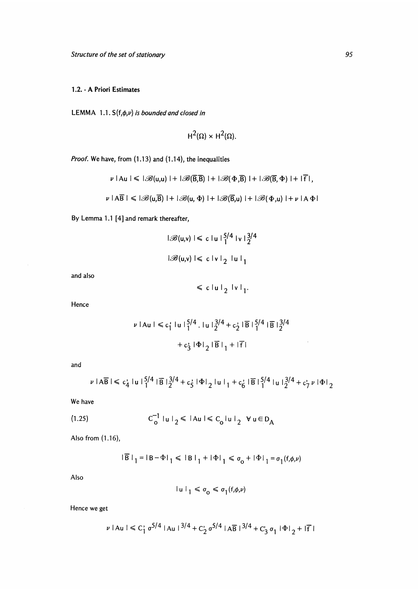### 1.2. - A Priori Estimates

LEMMA 1.1.  $S(f,\phi,\nu)$  is bounded and closed in

$$
H^2(\Omega) \times H^2(\Omega).
$$

Proof. We have, from (1.13) and (1.14), the inequalities

$$
\nu \mid \text{Au} \mid \leqslant \lvert \mathscr{B}(u,u) \rvert + \lvert \mathscr{B}(\overline{B},\overline{B}) \rvert + \lvert \mathscr{B}(\Phi,\overline{B}) \rvert + \lvert \mathscr{B}(\overline{B},\Phi) \rvert + \lvert \overline{f} \rvert,
$$

$$
\nu \mid A\overline{B} \mid \leqslant |\mathscr{B}(u,\overline{B})| + |\mathscr{B}(u,\Phi)| + |\mathscr{B}(\overline{B},u)| + |\mathscr{B}(\Phi,u)| + \nu \mid A\Phi|
$$

By Lemma 1.1 [4] and remark thereafter,

$$
|\mathcal{B}(u,v)| \leq c |u| \frac{5}{1} |v| \frac{3}{2} |u|
$$
  

$$
|\mathcal{B}(u,v)| \leq c |v| \frac{1}{2} |u|
$$

and also

$$
\leqslant c \left| u \right|_2 \left| v \right|_1.
$$

Hence

$$
\nu | \text{Au} | \leq c_1^2 | \text{u} |_{1}^{5/4}.| \text{u} |_{2}^{3/4} + c_2^2 | \overline{B} |_{1}^{5/4} | \overline{B} |_{2}^{3/4}
$$

$$
+ c_3^2 | \Phi|_{2} | \overline{B} |_{1} + | \overline{f} |
$$

and

$$
\nu \mid A\overline{B} \mid \leq c_4' \mid u \mid_{1}^{5/4} \mid \overline{B} \mid_{2}^{3/4} + c_5' \mid \Phi \mid_{2} \mid u \mid_{1} + c_6' \mid \overline{B} \mid_{1}^{5/4} \mid u \mid_{2}^{3/4} + c_7' \mid \Phi \mid_{2}
$$

We have

$$
(1.25) \tC_0^{-1} |u|_2 \le |Au| \le C_0 |u|_2 \quad \forall \ u \in D_A
$$

Also from (1.16),

$$
|\overline{B}|_1 = |B - \Phi|_1 \le |B|_1 + |\Phi|_1 \le \sigma_0 + |\Phi|_1 = \sigma_1(f, \phi, \nu)
$$

Also

$$
|\mathbf{u}|_1 \leq \sigma_0 \leq \sigma_1(\mathbf{f},\phi,\nu)
$$

Hence we get

$$
\nu \mid \text{Au} \mid \leq C_1^{\prime} \sigma^{5/4} \mid \text{Au} \mid^{3/4} + C_2^{\prime} \sigma^{5/4} \mid \text{AB} \mid^{3/4} + C_3^{\prime} \sigma_1 \mid \Phi \mid_2 + \mid \overline{f} \mid
$$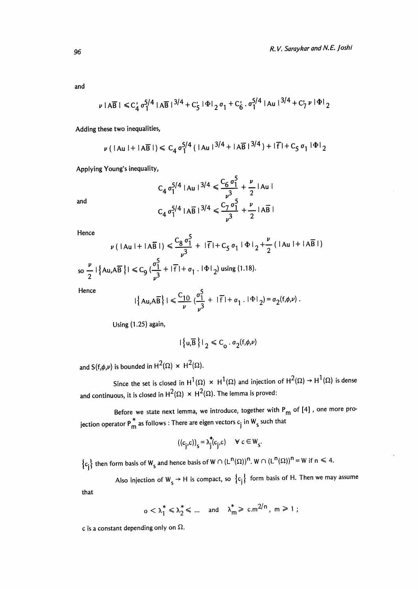and

$$
\nu \mid A\overline{B} \mid \leq C_4' \sigma_1^{5/4} \mid A\overline{B} \mid^{3/4} + C_5' \mid \Phi \mid_2 \sigma_1 + C_6' \cdot \sigma_1^{5/4} \mid Au \mid^{3/4} + C_7' \nu \mid \Phi \mid_2
$$

Adding these two inequalities,

$$
\nu (|\mathsf{A} \mathsf{u}| + |\mathsf{A} \overline{\mathsf{B}}|) \leq C_4 \sigma_1^{5/4} (|\mathsf{A} \mathsf{u}|^{3/4} + |\mathsf{A} \overline{\mathsf{B}}|^{3/4}) + |\overline{\mathsf{f}}| + C_5 \sigma_1 |\Phi|_2
$$

Applying Young's inequality,

$$
C_4 \sigma_1^{5/4} |A u|^{3/4} \le \frac{C_6 \sigma_1^5}{v^3} + \frac{\nu}{2} |A u|
$$
  

$$
C_4 \sigma_1^{5/4} |A \overline{B}|^{3/4} \le \frac{C_7 \sigma_1^5}{v^3} + \frac{\nu}{2} |A \overline{B}|
$$

Hence

and

$$
\nu \left( |Au| + |A\overline{B}| \right) \le \frac{C_8 \sigma_1^5}{\nu^3} + |\overline{f}| + C_5 \sigma_1 |\Phi|_2 + \frac{\nu}{2} \left( |Au| + |A\overline{B}| \right)
$$
  
so  $\frac{\nu}{2} |\{Au, A\overline{B}\}| \le C_9 \left( \frac{\sigma_1^5}{\nu^3} + |\overline{f}| + \sigma_1 |\Phi|_2 \right)$  using (1.18).

Hence

$$
|\{\mathsf{Au}, \mathsf{AB}\}| \leq \frac{C_{10}}{\nu} \left(\frac{\sigma_1^5}{\nu^3} + |\mathsf{F}| + \sigma_1 \cdot |\Phi| \right) = \sigma_2(f, \phi, \nu).
$$

Using  $(1.25)$  again,

$$
|\left\{ \mathbf{u},\overline{\mathbf{B}}\right\} |_{2} \leq C_{o} \cdot \sigma_{2}(\mathbf{f},\phi,\nu)
$$

and  $S(f,\phi,\nu)$  is bounded in  $H^2(\Omega) \times H^2(\Omega)$ .

Since the set is closed in  $H^1(\Omega) \times H^1(\Omega)$  and injection of  $H^2(\Omega) \to H^1(\Omega)$  is dense and continuous, it is closed in  $H^2(\Omega) \times H^2(\Omega)$ . The lemma is proved:

Before we state next lemma, we introduce, together with  $P_m$  of [4], one more projection operator  $P_m^*$  as follows : There are eigen vectors  $c_j$  in  $W_s$  such that

$$
((c_j,c))_s = \lambda_j^*(c_j,c) \quad \forall \ c \in W_s.
$$

 ${c_j}$  then form basis of W<sub>s</sub> and hence basis of W  $\cap$   $(L^n(\Omega))^n$ . W  $\cap$   $(L^n(\Omega))^n = W$  if  $n \le 4$ .

Also injection of  $W_s \to H$  is compact, so  ${c_j}$  form basis of H. Then we may assume

that

$$
0 < \lambda_1^* \leq \lambda_2^* \leq \dots \quad \text{and} \quad \lambda_m^* \geqslant \, c.m^{2/n} \,, \, m \geqslant 1 \, ;
$$

c is a constant depending only on  $\Omega$ .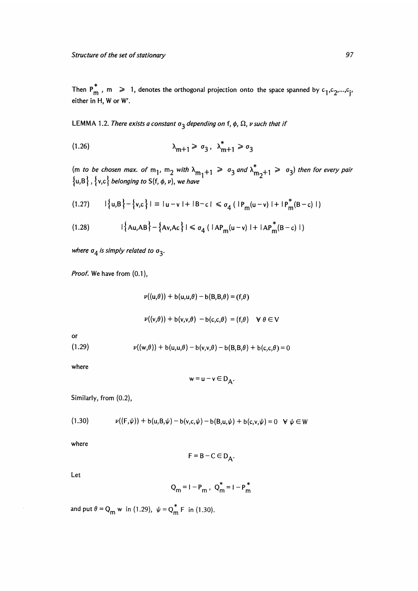Then  $P_m^*$ , m  $\geq 1$ , denotes the orthogonal projection onto the space spanned by  $c_1, c_2, ..., c_i$ either in H, W or W'.

LEMMA 1.2. There exists a constant  $\sigma_3$  depending on f,  $\phi$ ,  $\Omega$ ,  $\nu$  such that if

$$
\lambda_{m+1} \geq \sigma_3, \ \lambda_{m+1}^* \geq \sigma_3
$$

(m to be chosen max, of m<sub>1</sub>, m<sub>2</sub> with  $\lambda_{m_1+1} \geqslant \sigma_3$  and  $\lambda_{m_2+1} \geqslant \sigma_3$ ) then for every pair  $\left\{ \mathsf{u},\mathsf{B}\right\}$  ,  $\left\{ \mathsf{v},\mathsf{c}\right\}$  belonging to  $\mathsf{S}(\mathsf{f},\phi,\nu),$  we have

$$
(1.27) \qquad |\{u,B\} - \{v,c\}| = |u-v| + |B-c| \leq \sigma_4 \left( |P_m(u-v)| + |P_m^*(B-c)| \right)
$$

(1.28) 
$$
|\{Au, AB\} - \{Av, Ac\}| \le \sigma_4 (|AP_m(u-v)| + |AP_m^*(B-c)|)
$$

where  $\sigma_4$  is simply related to  $\sigma_3$ .

Proof. We have from  $(0.1)$ ,

$$
\nu((u,\theta)) + b(u,u,\theta) - b(B,B,\theta) = (f,\theta)
$$
  

$$
\nu((v,\theta)) + b(v,v,\theta) - b(c,c,\theta) = (f,\theta) \quad \forall \theta \in V
$$
  

$$
\nu((w,\theta)) + b(u,u,\theta) - b(v,v,\theta) - b(B,B,\theta) + b(c,c,\theta) = 0
$$

where

 $or$  $(1.29)$ 

$$
w = u - v \in D_A.
$$

Similarly, from (0.2),

(1.30) 
$$
\nu((F,\psi)) + b(u,B,\psi) - b(v,c,\psi) - b(B,u,\psi) + b(c,v,\psi) = 0 \quad \forall \psi \in W
$$

where

$$
F = B - C \in D_A.
$$

Let

$$
Q_m = I - P_m
$$
,  $Q_m^* = I - P_m^*$ 

and put  $\theta = Q_m$  w in (1.29),  $\psi = Q_m^*$  F in (1.30).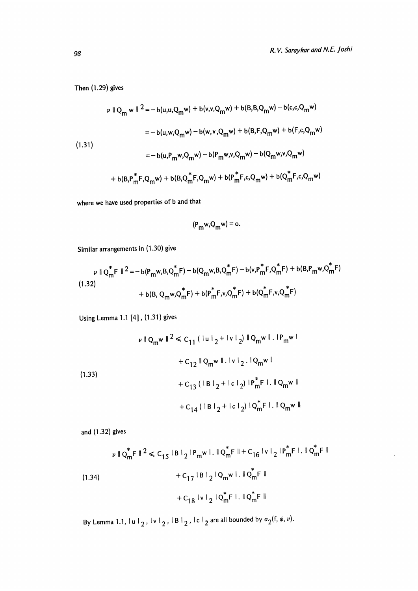$\overline{\phantom{a}}$ 

Then (1.29) gives

$$
\nu \parallel Q_m \le \parallel 2 - b(u, u, Q_m \le) + b(v, v, Q_m \le) + b(B, B, Q_m \le) - b(c, c, Q_m \le)
$$
  
=  $-b(u, w, Q_m \le) - b(w, v, Q_m \le) + b(B, F, Q_m \le) + b(F, c, Q_m \le)$   
=  $-b(u, P_m \le Q_m \le) - b(P_m \le v, Q_m \le) - b(Q_m \le v, Q_m \le)$   
+  $b(B, P_m^* F, Q_m \le) + b(B, Q_m^* F, Q_m \le) + b(P_m^* F, c, Q_m \le) + b(Q_m^* F, c, Q_m \le)$ 

where we have used properties of b and that

$$
(\mathsf{P}_{\mathsf{m}}\mathsf{w},\mathsf{Q}_{\mathsf{m}}\mathsf{w})=\mathsf{o}.
$$

Similar arrangements in (1.30) give

$$
\nu \parallel Q_{m}^{*}F \parallel^{2} = -b(P_{m}w, B, Q_{m}^{*}F) - b(Q_{m}w, B, Q_{m}^{*}F) - b(v, P_{m}^{*}F, Q_{m}^{*}F) + b(B, P_{m}w, Q_{m}^{*}F)
$$
\n(1.32)\n
$$
+ b(B, Q_{m}w, Q_{m}^{*}F) + b(P_{m}^{*}F, v, Q_{m}^{*}F) + b(Q_{m}^{*}F, v, Q_{m}^{*}F)
$$

Using Lemma 1.1 [4], (1.31) gives

$$
\nu \parallel Q_{m}w \parallel^{2} \leq C_{11} (\parallel u \parallel_{2} + \parallel v \parallel_{2}) \parallel Q_{m}w \parallel . \parallel P_{m}w \parallel
$$
  
+ C\_{12} \parallel Q\_{m}w \parallel . \parallel v \parallel\_{2} . \parallel Q\_{m}w \parallel  
+ C\_{13} (\parallel B \parallel\_{2} + \parallel c \parallel\_{2}) \parallel P\_{m}^{\*}F \parallel . \parallel Q\_{m}w \parallel  
+ C\_{14} (\parallel B \parallel\_{2} + \parallel c \parallel\_{2}) \parallel Q\_{m}^{\*}F \parallel . \parallel Q\_{m}w \parallel

and (1.32) gives

$$
\nu \parallel Q_{m}^{\ast}F \parallel^{2} \leq C_{15} \parallel B \parallel_{2} \parallel P_{m}w \parallel . \parallel Q_{m}^{\ast}F \parallel + C_{16} \parallel v \parallel_{2} \parallel P_{m}^{\ast}F \parallel . \parallel Q_{m}^{\ast}F \parallel
$$
  
\n
$$
+ C_{17} \parallel B \parallel_{2} \parallel Q_{m}w \parallel . \parallel Q_{m}^{\ast}F \parallel
$$
  
\n
$$
+ C_{18} \parallel v \parallel_{2} \parallel Q_{m}^{\ast}F \parallel . \parallel Q_{m}^{\ast}F \parallel
$$

By Lemma 1.1,  $|u|_2$ ,  $|v|_2$ ,  $|B|_2$ ,  $|c|_2$  are all bounded by  $\sigma_2(f, \phi, v)$ .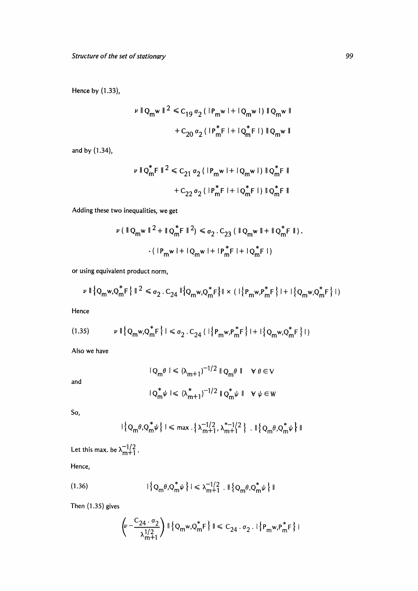Hence by (1.33),

$$
\nu \|Q_m w\|^2 \leq C_{19} \sigma_2 (|P_m w| + |Q_m w|) \|Q_m w\|
$$

$$
+ C_{20} \sigma_2 (|P_m^* F| + |Q_m^* F|) \|Q_m w\|
$$

and by (1.34),

$$
\nu \parallel Q_{m}^{*}F \parallel^{2} \leq C_{21} \sigma_{2} (\parallel P_{m}w \parallel + \parallel Q_{m}w \parallel) \parallel Q_{m}^{*}F \parallel
$$

$$
+ C_{22} \sigma_{2} (\parallel P_{m}^{*}F \parallel + \parallel Q_{m}^{*}F \parallel) \parallel Q_{m}^{*}F \parallel
$$

Adding these two inequalities, we get

$$
\nu (\parallel Q_m w \parallel^2 + \parallel Q_m^* F \parallel^2) \le \sigma_2 . C_{23} (\parallel Q_m w \parallel + \parallel Q_m^* F \parallel).
$$
  
. 
$$
\cdot (\parallel P_m w \parallel + \parallel Q_m w \parallel + \parallel P_m^* F \parallel + \parallel Q_m^* F \parallel)
$$

or using equivalent product norm,

$$
\nu \parallel \left\{Q_m w, Q_m^* F\right\} \parallel^2 \leq \sigma_2 C_{24} \parallel \left\{Q_m w, Q_m^* F\right\} \parallel \times ( \parallel \left\{P_m w, P_m^* F\right\} \parallel + \parallel \left\{Q_m w, Q_m^* F\right\} \parallel)
$$

Hence

$$
(1.35) \qquad \nu \parallel \left\{Q_m w, Q_m^* F\right\} \mid \leq \sigma_2 \cdot C_{24} \left( \mid \left\{P_m w, P_m^* F\right\} \mid + \mid \left\{Q_m w, Q_m^* F\right\} \mid \right)
$$

Also we have

and

$$
|Q_m \theta| \le (\lambda_{m+1})^{-1/2} \|Q_m \theta\| \quad \forall \theta \in V
$$
  

$$
|Q_m^* \psi| \le (\lambda_{m+1}^*)^{-1/2} \|Q_m^* \psi\| \quad \forall \psi \in W
$$

So,

$$
\vert \left\{ Q_m \theta, Q_m^* \psi \right\} \vert \leqslant \max \, \left\{ \lambda_{m+1}^{-1/2}, \lambda_{m+1}^{*-1/2} \right\} \, \, \text{and} \, \left\{ Q_m \theta, Q_m^* \psi \right\} \Vert
$$

Let this max. be  $\lambda_{m+1}^{-1/2}$ .

Hence,

(1.36) 
$$
|\{Q_m \theta, Q_m^* \psi\}| \leq \lambda_{m+1}^{-1/2} \cdot \|\{Q_m \theta, Q_m^* \psi\}\|
$$

Then (1.35) gives

$$
\left(\nu - \frac{C_{24} \cdot \sigma_2}{\lambda_{m+1}^{1/2}}\right) \|\{\mathbf{Q}_m \mathbf{w}, \mathbf{Q}_m^* \mathbf{F}\}\| \le C_{24} \cdot \sigma_2 \cdot \|\{\mathbf{P}_m \mathbf{w}, \mathbf{P}_m^* \mathbf{F}\}\|
$$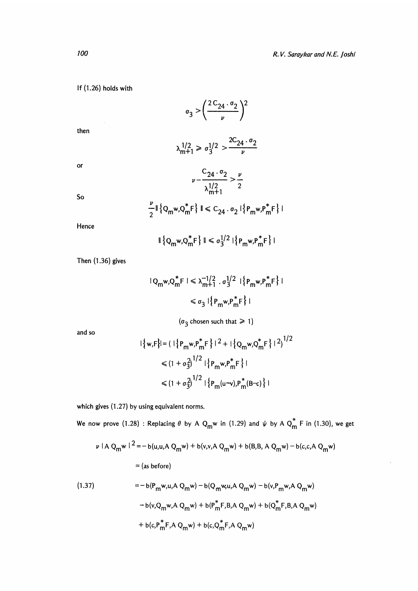### If (1.26) holds with

$$
\sigma_3 > \left(\frac{2\,C_{24}\cdot\sigma_2}{\nu}\right)^2
$$

then

$$
\lambda_{m+1}^{1/2} \geq \sigma_3^{1/2} > \frac{2C_{24} \cdot \sigma_2}{\nu}
$$

 $\alpha$ 

So

$$
\nu - \frac{C_{24} \cdot \sigma_2}{\lambda_{m+1}^{1/2}} > \frac{\nu}{2}
$$

$$
\frac{\nu}{2} \|\{Q_m w, Q_m^* F\}\| \leq C_{24} \cdot \sigma_2 |\{P_m w, P_m^* F\}|
$$

Hence

 $\|\{Q_m w, Q_m^* F\}\| \leq \sigma_3^{1/2} |\{P_m w, P_m^* F\}|$ 

Then (1.36) gives

$$
|Q_m w, Q_m^* F| \le \lambda_{m+1}^{-1/2} \cdot \sigma_3^{1/2} | \{ P_m w, P_m^* F \} |
$$
  

$$
\le \sigma_3 | \{ P_m w, P_m^* F \} |
$$

 $(\sigma_3$  chosen such that  $\geq 1$ )

and so

$$
|\{w, F\}| = (|\{P_m w, P_m^* F\}|^2 + |\{Q_m w, Q_m^* F\}|^2)^{1/2}
$$
  

$$
\leq (1 + \sigma_3^2)^{1/2} |\{P_m w, P_m^* F\}|
$$
  

$$
\leq (1 + \sigma_3^2)^{1/2} |\{P_m (u \sim v), P_m^* (B-c)\}|
$$

which gives (1.27) by using equivalent norms.

We now prove (1.28) : Replacing  $\theta$  by A  $Q_m w$  in (1.29) and  $\psi$  by A  $Q_m^*$  F in (1.30), we get

$$
\nu |A Q_m w|^2 = -b(u, u, A Q_m w) + b(v, v, A Q_m w) + b(B, B, A Q_m w) - b(c, c, A Q_m w)
$$
  
= (as before)

(1.37) = 
$$
-b(P_m w, u, A Q_m w) - b(Q_m w, u, A Q_m w) - b(v, P_m w, A Q_m w)
$$
  
\t $-b(v, Q_m w, A Q_m w) + b(P_m^* F, B, A Q_m w) + b(Q_m^* F, B, A Q_m w)$   
\t $+ b(c, P_m^* F, A Q_m w) + b(c, Q_m^* F, A Q_m w)$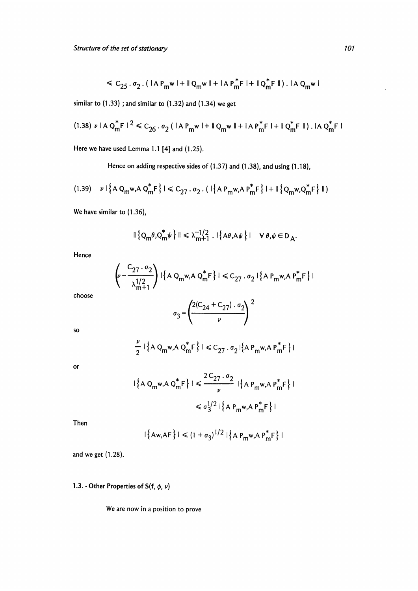$$
\leq C_{25} \cdot \sigma_2 \cdot ( |\mathbf{A} \mathbf{P}_{m} \mathbf{w}| + ||\mathbf{Q}_{m} \mathbf{w}|| + |\mathbf{A} \mathbf{P}_{m}^* \mathbf{F}| + ||\mathbf{Q}_{m}^* \mathbf{F}|| ).
$$

similar to  $(1.33)$ ; and similar to  $(1.32)$  and  $(1.34)$  we get

$$
(1.38) \nu \mid A \, Q_{\text{m}}^* F \mid ^2 \leq C_{26} \, Q \, (\mid A \, P_{\text{m}} w \mid + \mid Q_{\text{m}} w \mid + \mid A \, P_{\text{m}}^* F \mid + \mid Q_{\text{m}}^* F \mid + \mid Q_{\text{m}}^* F \mid).
$$

Here we have used Lemma 1.1 [4] and (1.25).

Hence on adding respective sides of (1.37) and (1.38), and using (1.18),

$$
(1.39) \quad \nu \mid \left\{ A \ Q_m w, A \ Q_m^* F \right\} \mid \leq C_{27} \cdot \sigma_2 \cdot (\mid \left\{ A \ P_m w, A \ P_m^* F \right\} \mid + \parallel \left\{ Q_m w, Q_m^* F \right\} \parallel)
$$

We have similar to  $(1.36)$ ,

$$
\|\left\{Q_m\theta,Q_m^*\psi\right\}\| \leq \lambda_{m+1}^{-1/2} \cdot \|\left\{A\theta,A\psi\right\}\| \quad \forall \theta,\psi \in D_A.
$$

Hence

$$
\left(\nu - \frac{C_{27} \cdot \sigma_2}{\lambda_{m+1}^{1/2}}\right) \cdot \left\{ A \cdot Q_m w, A \cdot Q_m^* F \right\} \cdot \leq C_{27} \cdot \sigma_2 \cdot \left\{ A \cdot P_m w, A \cdot P_m^* F \right\} \cdot
$$

choose

$$
\sigma_3 = \left(\frac{2(C_{24} + C_{27}) \cdot \sigma_2}{\nu}\right)^2
$$

 $\mathsf{SO}$ 

$$
\frac{\nu}{2} | \{ A Q_m w, A Q_m^* F \} | \leq C_{27} \cdot \sigma_2 | \{ A P_m w, A P_m^* F \} |
$$

or

$$
|\{A Q_m w, A Q_m^* F\}| \le \frac{2 C_{27} \cdot \sigma_2}{\nu} |\{A P_m w, A P_m^* F\}|
$$
  

$$
\le \sigma_3^{1/2} |\{A P_m w, A P_m^* F\}|
$$

Then

$$
|\{\mathsf{Aw}, \mathsf{AF}\}| \le (1 + \sigma_3)^{1/2} |\{\mathsf{AP}_m \mathsf{w}, \mathsf{AP}_m^* \mathsf{F}\}|
$$

and we get (1.28).

# 1.3. - Other Properties of  $S(f, \phi, \nu)$

We are now in a position to prove

 $\mathcal{L}$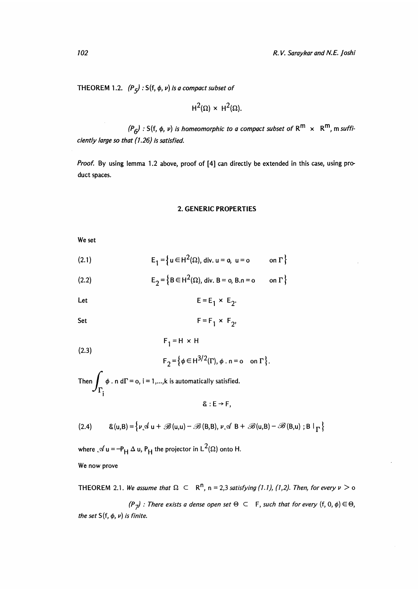THEOREM 1.2.  $(P_5)$ : S(f,  $\phi$ ,  $\nu$ ) is a compact subset of

$$
H^2(\Omega) \times H^2(\Omega).
$$

 $(P_G)$ : S(f,  $\phi$ ,  $\nu$ ) is homeomorphic to a compact subset of  $R^m \times R^m$ , m sufficiently large so that (1.26) is satisfied.

Proof. By using lemma 1.2 above, proof of [4] can directly be extended in this case, using product spaces.

#### 2. GENERIC PROPERTIES

We set

(2.1) 
$$
E_1 = \left\{ u \in H^2(\Omega), \text{ div. } u = 0, u = 0 \text{ on } \Gamma \right\}
$$

(2.2) 
$$
E_2 = \{B \in H^2(\Omega), \text{ div. } B = 0, B.n = 0 \text{ on } \Gamma\}
$$

Let 
$$
E = E_1 \times E_2
$$

Set 
$$
F = F_1 \times F_2
$$

 $F_1 = H \times H$  $(2.3)$ 

$$
F_2 = \left\{ \phi \in H^{3/2}(\Gamma), \phi \cdot n = o \quad \text{on } \Gamma \right\}.
$$

Then  $\int \phi \cdot n d\Gamma = 0$ , i = 1,...,k is automatically satisfied.  $\mathcal{F}_{\mathbf{I}^{\prime}}$ 

$$
\&: E \rightarrow F,
$$

(2.4) 
$$
\& (u, B) = \left\{ \nu \mathcal{A} \ u + \mathcal{B} \left( u, u \right) - \mathcal{B} \left( B, B \right), \nu \mathcal{A} \ B + \mathcal{B} \left( u, B \right) - \mathcal{B} \left( B, u \right) ; B \mid_{\Gamma} \right\}
$$

where  $\mathcal{A}$  u = -P<sub>H</sub>  $\Delta$  u, P<sub>H</sub> the projector in L<sup>2</sup>( $\Omega$ ) onto H. We now prove

THEOREM 2.1. We assume that  $\Omega \subset \mathbb{R}^n$ , n = 2,3 satisfying (1.1), (1,2). Then, for every  $\nu > 0$ 

 $(P_7)$ : There exists a dense open set  $\Theta \subset F$ , such that for every  $(f, 0, \phi) \in \Theta$ , the set  $S(f, \phi, \nu)$  is finite.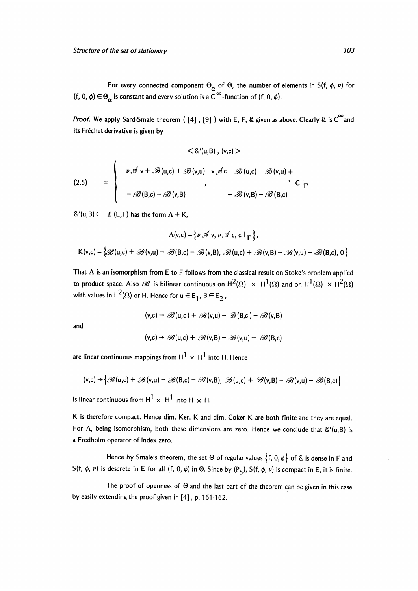For every connected component  $\Theta_{\alpha}$  of  $\Theta$ , the number of elements in S(f,  $\phi$ ,  $\nu$ ) for (f, 0,  $\phi$ )  $\in \Theta_{\alpha}$  is constant and every solution is a  $\tilde{C}^{\infty}$ -function of (f, 0,  $\phi$ ).

*Proof.* We apply Sard-Smale theorem ( $[4]$ ,  $[9]$ ) with E, F, & given as above. Clearly & is  $C^{\infty}$  and its Fréchet derivative is given by

$$
\langle \& (u, B), (v, c) \rangle
$$
  
\n
$$
\langle 2.5 \rangle = \begin{cases} \nu \mathcal{A} \vee + \mathcal{B}(u, c) + \mathcal{B}(v, u) & v \mathcal{A}c + \mathcal{B}(u, c) - \mathcal{B}(v, u) + \\ \nu \mathcal{A}(v + \mathcal{B}(u, c) + \mathcal{B}(v, u) & v \mathcal{A}(v + \mathcal{B}(u, c) - \mathcal{B}(v, u)) + \\ \mathcal{B}(v, B) - \mathcal{B}(v, B) & + \mathcal{B}(v, B) - \mathcal{B}(B, c) \end{cases}
$$

 $\&^{\prime}(u,B) \in \mathcal{L}(E,F)$  has the form  $\Lambda + K$ ,

$$
\Lambda(v,c) = \{v \mathcal{A} v, v \mathcal{A} c, c \mid_{\Gamma}\},
$$
  

$$
\mathsf{K}(v,c) = \{ \mathcal{B}(u,c) + \mathcal{B}(v,u) - \mathcal{B}(B,c) - \mathcal{B}(v,B), \mathcal{B}(u,c) + \mathcal{B}(v,B) - \mathcal{B}(v,u) - \mathcal{B}(B,c), 0 \}
$$

That  $\Lambda$  is an isomorphism from E to F follows from the classical result on Stoke's problem applied to product space. Also  $\mathscr B$  is bilinear continuous on  $H^2(\Omega) \times H^1(\Omega)$  and on  $H^1(\Omega) \times H^2(\Omega)$ with values in  $L^2(\Omega)$  or H. Hence for  $u \in E_1$ ,  $B \in E_2$ ,

$$
(v,c) \rightarrow \mathscr{B}(u,c) + \mathscr{B}(v,u) - \mathscr{B}(B,c) - \mathscr{B}(v,B)
$$

and

$$
(v,c) \rightarrow \mathscr{B}(u,c) + \mathscr{B}(v,B) - \mathscr{B}(v,u) - \mathscr{B}(B,c)
$$

are linear continuous mappings from  $H^1 \times H^1$  into H. Hence

$$
(v,c) \rightarrow \big\{\mathscr{B}(u,c) + \mathscr{B}(v,u) - \mathscr{B}(B,c) - \mathscr{B}(v,B), \ \mathscr{B}(u,c) + \mathscr{B}(v,B) - \mathscr{B}(v,u) - \mathscr{B}(B,c)\big\}
$$

is linear continuous from  $H^1 \times H^1$  into H  $\times$  H.

K is therefore compact. Hence dim. Ker. K and dim. Coker K are both finite and they are equal. For  $\Lambda$ , being isomorphism, both these dimensions are zero. Hence we conclude that  $\mathcal{E}'(u,B)$  is a Fredholm operator of index zero.

Hence by Smale's theorem, the set  $\Theta$  of regular values  $\{f, 0, \phi\}$  of & is dense in F and S(f,  $\phi$ ,  $\nu$ ) is descrete in E for all (f, 0,  $\phi$ ) in  $\Theta$ . Since by (P<sub>5</sub>), S(f,  $\phi$ ,  $\nu$ ) is compact in E, it is finite.

The proof of openness of  $\Theta$  and the last part of the theorem can be given in this case by easily extending the proof given in [4] , p. 161-162.